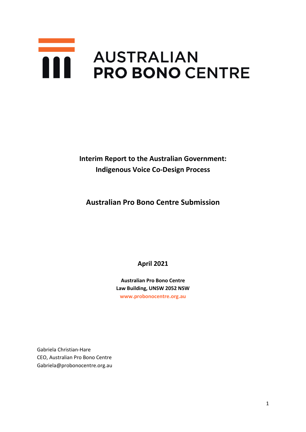# **AUSTRALIAN PRO BONO CENTRE**

**Interim Report to the Australian Government: Indigenous Voice Co-Design Process**

**Australian Pro Bono Centre Submission** 

**April 2021**

**Australian Pro Bono Centre Law Building, UNSW 2052 NSW [www.probonocentre.org.au](http://www.probonocentre.org.au/)**

Gabriela Christian-Hare CEO, Australian Pro Bono Centre Gabriela@probonocentre.org.au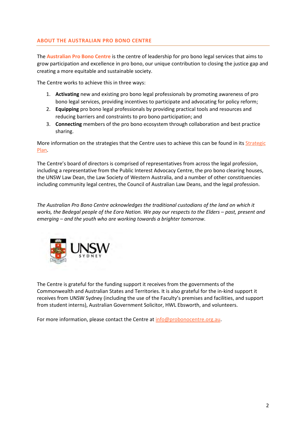## **ABOUT THE AUSTRALIAN PRO BONO CENTRE**

The **Australian Pro Bono Centre** is the centre of leadership for pro bono legal services that aims to grow participation and excellence in pro bono, our unique contribution to closing the justice gap and creating a more equitable and sustainable society.

The Centre works to achieve this in three ways:

- 1. **Activating** new and existing pro bono legal professionals by promoting awareness of pro bono legal services, providing incentives to participate and advocating for policy reform;
- 2. **Equipping** pro bono legal professionals by providing practical tools and resources and reducing barriers and constraints to pro bono participation; and
- 3. **Connecting** members of the pro bono ecosystem through collaboration and best practice sharing.

More information on the strategies that the Centre uses to achieve this can be found in its Strategic [Plan.](https://www.probonocentre.org.au/about-the-centre/mission-statement/)

The Centre's board of directors is comprised of representatives from across the legal profession, including a representative from the Public Interest Advocacy Centre, the pro bono clearing houses, the UNSW Law Dean, the Law Society of Western Australia, and a number of other constituencies including community legal centres, the Council of Australian Law Deans, and the legal profession.

*The Australian Pro Bono Centre acknowledges the traditional custodians of the land on which it works, the Bedegal people of the Eora Nation. We pay our respects to the Elders – past, present and emerging – and the youth who are working towards a brighter tomorrow.* 



The Centre is grateful for the funding support it receives from the governments of the Commonwealth and Australian States and Territories. It is also grateful for the in-kind support it receives from UNSW Sydney (including the use of the Faculty's premises and facilities, and support from student interns), Australian Government Solicitor, HWL Ebsworth, and volunteers.

For more information, please contact the Centre a[t info@probonocentre.org.au.](mailto:info@probonocentre.org.au)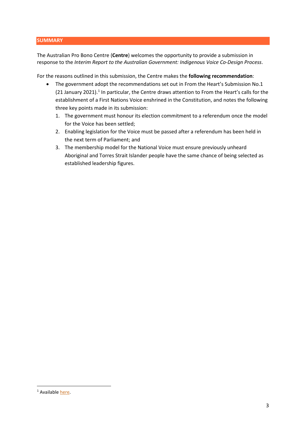### **SUMMARY**

The Australian Pro Bono Centre (**Centre**) welcomes the opportunity to provide a submission in response to the *Interim Report to the Australian Government: Indigenous Voice Co-Design Process*.

For the reasons outlined in this submission, the Centre makes the **following recommendation**:

- The government adopt the recommendations set out in From the Heart's Submission No.1 (2[1](#page-2-0) January 2021).<sup>1</sup> In particular, the Centre draws attention to From the Heart's calls for the establishment of a First Nations Voice enshrined in the Constitution, and notes the following three key points made in its submission:
	- 1. The government must honour its election commitment to a referendum once the model for the Voice has been settled;
	- 2. Enabling legislation for the Voice must be passed after a referendum has been held in the next term of Parliament; and
	- 3. The membership model for the National Voice must ensure previously unheard Aboriginal and Torres Strait Islander people have the same chance of being selected as established leadership figures.

<span id="page-2-0"></span><sup>&</sup>lt;sup>1</sup> Available here.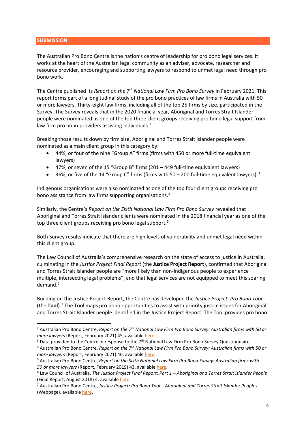#### **SUBMISSION**

The Australian Pro Bono Centre is the nation's centre of leadership for pro bono legal services. It works at the heart of the Australian legal community as an adviser, advocate, researcher and resource provider, encouraging and supporting lawyers to respond to unmet legal need through pro bono work.

The Centre published its *Report on the 7th National Law Firm Pro Bono Survey* in February 2021. This report forms part of a longitudinal study of the pro bono practices of law firms in Australia with 50 or more lawyers. Thirty-eight law firms, including all of the top 25 firms by size, participated in the Survey. The Survey reveals that in the 2020 financial year, Aboriginal and Torres Strait Islander people were nominated as one of the top three client groups receiving pro bono legal support from law firm pro bono providers assisting individuals.<sup>[2](#page-3-0)</sup>

Breaking those results down by firm size, Aboriginal and Torres Strait Islander people were nominated as a main client group in this category by:

- 44%, or four of the nine "Group A" firms (firms with 450 or more full-time equivalent lawyers)
- 47%, or seven of the 15 "Group B" firms (201 449 full-time equivalent lawyers)
- [3](#page-3-1)6%, or five of the 14 "Group C" firms (firms with  $50 200$  full-time equivalent lawyers).<sup>3</sup>

Indigenous organisations were also nominated as one of the top four client groups receiving pro bono assistance from law firms supporting organisations. [4](#page-3-2)

Similarly, the Centre's *Report on the Sixth National Law Firm Pro Bono Survey* revealed that Aboriginal and Torres Strait Islander clients were nominated in the 2018 financial year as one of the top three client groups receiving pro bono legal support.<sup>[5](#page-3-3)</sup>

Both Survey results indicate that there are high levels of vulnerability and unmet legal need within this client group.

The Law Council of Australia's comprehensive research on the state of access to justice in Australia, culminating in the *Justice Project Final Report* (the **Justice Project Report**), confirmed that Aboriginal and Torres Strait Islander people are "more likely than non-Indigenous people to experience multiple, intersecting legal problems", and that legal services are not equipped to meet this soaring demand.<sup>[6](#page-3-4)</sup>

Building on the Justice Project Report, the Centre has developed the *Justice Project: Pro Bono Tool* (the **Tool**). [7](#page-3-5) The Tool maps pro bono opportunities to assist with priority justice issues for Aboriginal and Torres Strait Islander people identified in the Justice Project Report. The Tool provides pro bono

<span id="page-3-0"></span><sup>2</sup> Australian Pro Bono Centre, *Report on the 7th National Law Firm Pro Bono Survey: Australian firms with 50 or more lawyers* (Report, February 2021) 45, available here.<br><sup>3</sup> Data provided to the Centre in response to the 7<sup>th</sup> National Law Firm Pro Bono Survey Questionnaire.

<span id="page-3-2"></span><span id="page-3-1"></span><sup>4</sup> Australian Pro Bono Centre, *Report on the 7th National Law Firm Pro Bono Survey: Australian firms with 50 or more lawyers* (Report, February 2021) 46, available [here.](https://www.probonocentre.org.au/information-on-pro-bono/survey/)

<span id="page-3-3"></span><sup>5</sup> Australian Pro Bono Centre, *Report on the Sixth National Law Firm Pro Bono Survey: Australian firms with 50 or more lawyers* (Report, February 2019) 43, available [here.](https://www.probonocentre.org.au/wp-content/uploads/2019/02/Report-of-the-Sixth-National-Pro-Bono-Survey-2018.pdf)

<span id="page-3-4"></span><sup>6</sup> Law Council of Australia, *The Justice Project Final Report: Part 1 – Aboriginal and Torres Strait Islander People*  (Final Report, August 2018) 4, available *here.*<br><sup>7</sup> Australian Pro Bono Centre, *Justice Project: Pro Bono Tool – Aboriginal and Torres Strait Islander Peoples* 

<span id="page-3-5"></span><sup>(</sup>Webpage), available [here.](https://www.probonocentre.org.au/research/justice-project-report-aboriginal-and-torres-strait-islander-peoples/)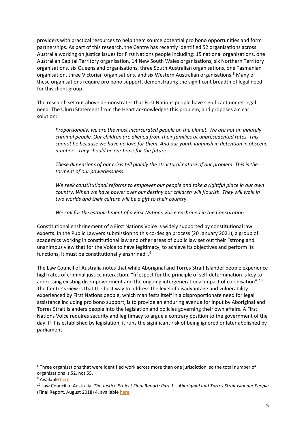providers with practical resources to help them source potential pro bono opportunities and form partnerships. As part of this research, the Centre has recently identified 52 organisations across Australia working on justice issues for First Nations people including: 15 national organisations, one Australian Capital Territory organisation, 14 New South Wales organisations, six Northern Territory organisations, six Queensland organisations, three South Australian organisations, one Tasmanian organisation, three Victorian organisations, and six Western Australian organisations.<sup>[8](#page-4-0)</sup> Many of these organisations require pro bono support, demonstrating the significant breadth of legal need for this client group.

The research set out above demonstrates that First Nations people have significant unmet legal need. The Uluru Statement from the Heart acknowledges this problem, and proposes a clear solution:

*Proportionally, we are the most incarcerated people on the planet. We are not an innately criminal people. Our children are aliened from their families at unprecedented rates. This cannot be because we have no love for them. And our youth languish in detention in obscene numbers. They should be our hope for the future.* 

*These dimensions of our crisis tell plainly the structural nature of our problem. This is the torment of our powerlessness.* 

*We seek constitutional reforms to empower our people and take a rightful place in our own country. When we have power over our destiny our children will flourish. They will walk in two worlds and their culture will be a gift to their country.* 

*We call for the establishment of a First Nations Voice enshrined in the Constitution.*

Constitutional enshrinement of a First Nations Voice is widely supported by constitutional law experts. In the Public Lawyers submission to this co-design process (20 January 2021), a group of academics working in constitutional law and other areas of public law set out their "strong and unanimous view that for the Voice to have legitimacy, to achieve its objectives and perform its functions, it must be constitutionally enshrined".[9](#page-4-1)

The Law Council of Australia notes that while Aboriginal and Torres Strait Islander people experience high rates of criminal justice interaction, "[r]espect for the principle of self-determination is key to addressing existing disempowerment and the ongoing intergenerational impact of colonisation".<sup>[10](#page-4-2)</sup> The Centre's view is that the best way to address the level of disadvantage and vulnerability experienced by First Nations people, which manifests itself in a disproportionate need for legal assistance including pro bono support, is to provide an enduring avenue for input by Aboriginal and Torres Strait Islanders people into the legislation and policies governing their own affairs. A First Nations Voice requires security and legitimacy to argue a contrary position to the government of the day. If it is established by legislation, it runs the significant risk of being ignored or later abolished by parliament.

<span id="page-4-0"></span><sup>&</sup>lt;sup>8</sup> Three organisations that were identified work across more than one jurisdiction, so the total number of organisations is 52, not 55.

<span id="page-4-1"></span><sup>&</sup>lt;sup>9</sup> Available [here.](https://storage.googleapis.com/converlens-au/niaa/p/prj1409b8ad0fc9112015464/spc14682a689bd104c91397a/Public%20Lawyers%20-%20Indigenous%20Voice%20Submission.pdf?GoogleAccessId=storage%40omega-winter-188807.iam.gserviceaccount.com&Expires=1619587820&Signature=QcO0zoDxRUW39Una6QPblfg0O2GNsY2G4r5uAituqTY7WoESiwHHMHZ4RiztnpF%2BtDrIgRhQAp9%2FnXOKx7L%2BizlxqQVrYrQ113pEdQTxqhRqzmj4hVveMJ0FmlEe2%2B9ZK6oesjDvEsAG%2BMYSUBAxH2qgkmVtBP2W9J9x0JQ4QJofO5O9rn%2BWa2WWTPc1%2BCZbwQ6jO2xeCUSGZtqvDNAb0QfqV2bRpgu9vbTQ2C%2B0xlj%2BJrl4mNZKNeQLDh8IyeMCeJNVVWIc%2FlV2muTD9JF1qdQPIgDsv816VaKdY8qmK0oGEQGlrFJ9jSB%2BnkkmuJlfeGMpEmC%2BbPrQbkcWsE8kaw%3D%3D)

<span id="page-4-2"></span><sup>10</sup> Law Council of Australia, *The Justice Project Final Report: Part 1 – Aboriginal and Torres Strait Islander People*  (Final Report, August 2018) 4, availabl[e here.](https://www.lawcouncil.asn.au/files/web-pdf/Justice%20Project/Final%20Report/Aboriginal%20and%20Torres%20Strait%20Islander%20People%20%28Part%201%29.pdf)